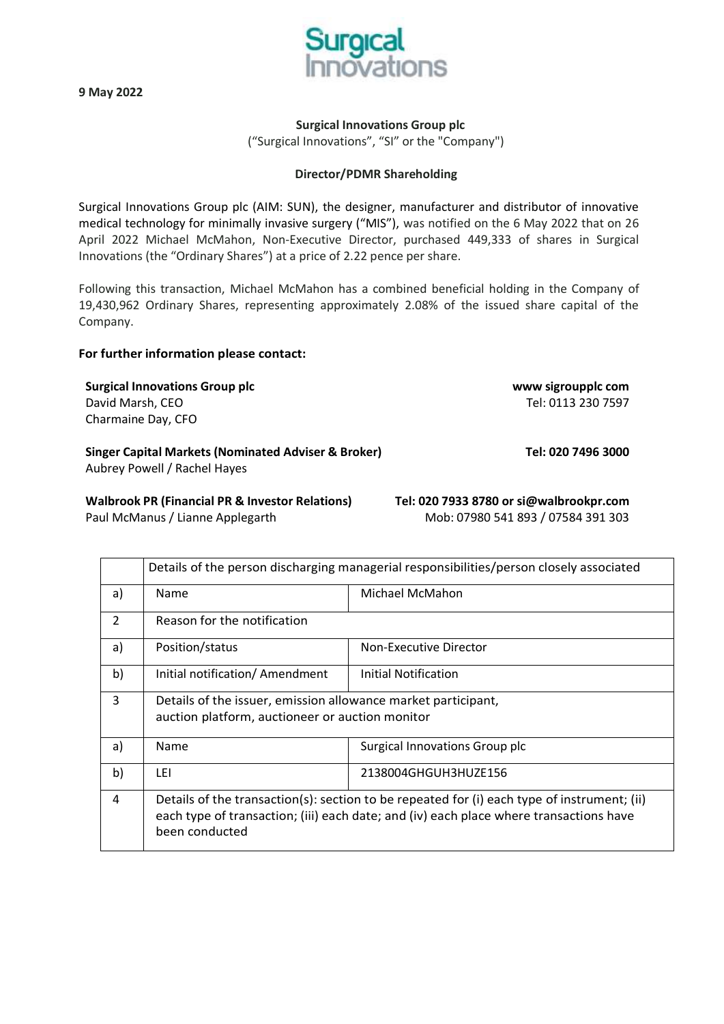

**9 May 2022**

## **Surgical Innovations Group plc**

("Surgical Innovations", "SI" or the "Company")

### **Director/PDMR Shareholding**

Surgical Innovations Group plc (AIM: SUN), the designer, manufacturer and distributor of innovative medical technology for minimally invasive surgery ("MIS"), was notified on the 6 May 2022 that on 26 April 2022 Michael McMahon, Non-Executive Director, purchased 449,333 of shares in Surgical Innovations (the "Ordinary Shares") at a price of 2.22 pence per share.

Following this transaction, Michael McMahon has a combined beneficial holding in the Company of 19,430,962 Ordinary Shares, representing approximately 2.08% of the issued share capital of the Company.

#### **For further information please contact:**

**Surgical Innovations Group plc [www sigroupplc com](http://www.sigroupplc.com/)** David Marsh, CEO Tel: 0113 230 7597 Charmaine Day, CFO

**Singer Capital Markets (Nominated Adviser & Broker) Tel: 020 7496 3000**

Aubrey Powell / Rachel Hayes

**Walbrook PR (Financial PR & Investor Relations) Tel: 020 7933 8780 or [si@walbrookpr.com](mailto:si@walbrookpr.com)** Paul McManus / Lianne Applegarth Mob: 07980 541 893 / 07584 391 303

|    | Details of the person discharging managerial responsibilities/person closely associated                                                                                                                 |                                |  |
|----|---------------------------------------------------------------------------------------------------------------------------------------------------------------------------------------------------------|--------------------------------|--|
| a) | Name                                                                                                                                                                                                    | Michael McMahon                |  |
| 2  | Reason for the notification                                                                                                                                                                             |                                |  |
| a) | Position/status                                                                                                                                                                                         | Non-Executive Director         |  |
| b) | Initial notification/ Amendment                                                                                                                                                                         | Initial Notification           |  |
| 3  | Details of the issuer, emission allowance market participant,<br>auction platform, auctioneer or auction monitor                                                                                        |                                |  |
| a) | Name                                                                                                                                                                                                    | Surgical Innovations Group plc |  |
| b) | LEL                                                                                                                                                                                                     | 2138004GHGUH3HUZE156           |  |
| 4  | Details of the transaction(s): section to be repeated for (i) each type of instrument; (ii)<br>each type of transaction; (iii) each date; and (iv) each place where transactions have<br>been conducted |                                |  |